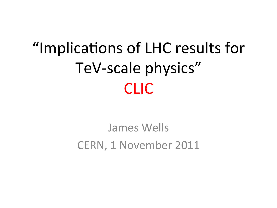# "Implications of LHC results for TeV-scale physics" CLIC-

### James-Wells-CERN, 1 November 2011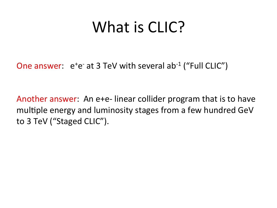## What is CLIC?

One answer:  $e^+e^-$  at 3 TeV with several ab<sup>-1</sup> ("Full CLIC")

Another answer: An e+e-linear collider program that is to have multiple energy and luminosity stages from a few hundred GeV to 3 TeV ("Staged CLIC").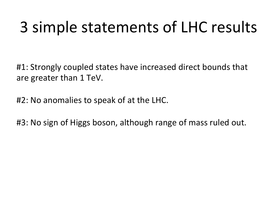## 3 simple statements of LHC results

#1: Strongly coupled states have increased direct bounds that are greater than 1 TeV.

#2: No anomalies to speak of at the LHC.

#3: No sign of Higgs boson, although range of mass ruled out.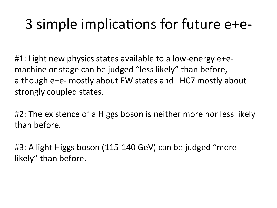### 3 simple implications for future e+e-

#1: Light new physics states available to a low-energy e+emachine or stage can be judged "less likely" than before, although e+e- mostly about EW states and LHC7 mostly about strongly coupled states.

#2: The existence of a Higgs boson is neither more nor less likely than before.

#3: A light Higgs boson (115-140 GeV) can be judged "more likely" than before.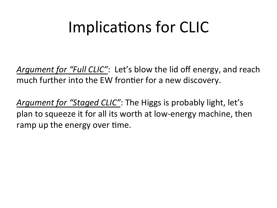## Implications for CLIC

*Argument for "Full CLIC"*: Let's blow the lid off energy, and reach much further into the EW frontier for a new discovery.

*Argument for "Staged CLIC"*: The Higgs is probably light, let's plan to squeeze it for all its worth at low-energy machine, then ramp up the energy over time.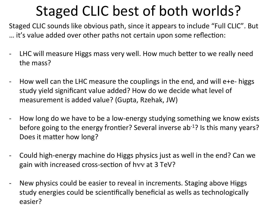## Staged CLIC best of both worlds?

Staged CLIC sounds like obvious path, since it appears to include "Full CLIC". But ... it's value added over other paths not certain upon some reflection:

- LHC will-measure-Higgs-mass-very-well. How much better to-we-really-needthe mass?
- How well can the LHC measure the couplings in the end, and will e+e- higgs study yield significant value added? How do we decide what level of measurement is added value? (Gupta, Rzehak, JW)
- How long do we have to be a low-energy studying something we know exists before going to the energy frontier? Several inverse ab<sup>-1</sup>? Is this many years? Does it matter how long?
- Could high-energy machine do Higgs physics just as well in the end? Can we gain with increased cross-section of hvy at 3 TeV?
- New physics could be easier to reveal in increments. Staging above Higgs study energies could be scientifically beneficial as wells as technologically easier?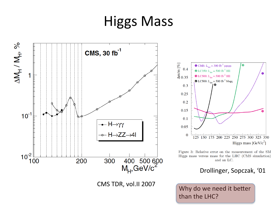## Higgs-Mass-





Figure 3: Relative error on the measurement of the SM Higgs mass versus mass for the LHC (CMS simulation) and an LC.

#### Drollinger, Sopczak, '01

CMS TDR, vol.II 2007 Why do we need it better than the LHC?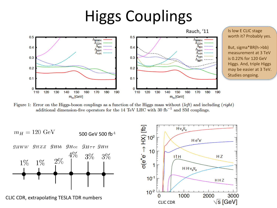## **Higgs Couplings**



Figure 1: Error on the Higgs-boson couplings as a function of the Higgs mass without  $(left)$  and including  $(right)$ additional dimension-five operators for the 14 TeV LHC with 30  $fb^{-1}$  and SM couplings.



CLIC CDR, extrapolating TESLA TDR numbers

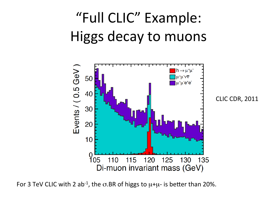## "Full CLIC" Example: Higgs decay to muons



For 3 TeV CLIC with 2 ab<sup>-1</sup>, the  $\sigma$ .BR of higgs to  $\mu + \mu$ - is better than 20%.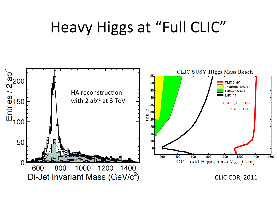## Heavy Higgs at "Full CLIC"

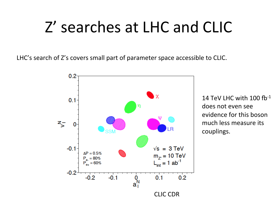## Z' searches at LHC and CLIC

LHC's search of Z's covers small part of parameter space accessible to CLIC.



14 TeV LHC with  $100$  fb $^{-1}$ does not even see evidence for this boson much less measure its couplings.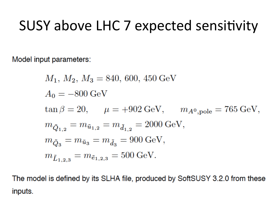### SUSY above LHC 7 expected sensitivity

Model input parameters:

$$
\begin{aligned} &M_1,\,M_2,\,M_3=840,\,600,\,450\,{\rm GeV}\\ &A_0=-800\,{\rm GeV}\\ &\tan\beta=20,\hspace{5mm}\mu=+902\,{\rm GeV},\hspace{5mm}m_{A^0,\rm pole}=765\,{\rm GeV},\\ &m_{\tilde{Q}_{1,2}}=m_{\tilde{u}_{1,2}}=m_{\tilde{d}_{1,2}}=2000\,{\rm GeV},\\ &m_{\tilde{Q}_3}=m_{\tilde{u}_3}=m_{\tilde{d}_3}=900\,{\rm GeV},\\ &m_{\tilde{L}_{1,2,3}}=m_{\tilde{e}_{1,2,3}}=500\,{\rm GeV}. \end{aligned}
$$

The model is defined by its SLHA file, produced by SoftSUSY 3.2.0 from these inputs.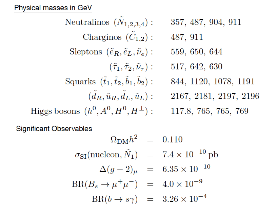Physical masses in GeV

Neutralinos 
$$
(\tilde{N}_{1,2,3,4})
$$
: 357, 487, 904, 911  
\nCharginos  $(\tilde{C}_{1,2})$ : 487, 911  
\nSleptons  $(\tilde{e}_R, \tilde{e}_L, \tilde{\nu}_e)$ : 559, 650, 644  
\n $(\tilde{\tau}_1, \tilde{\tau}_2, \tilde{\nu}_\tau)$ : 517, 642, 630  
\nSquarks  $(\tilde{t}_1, \tilde{t}_2, \tilde{b}_1, \tilde{b}_2)$ : 844, 1120, 1078, 1191  
\n $(\tilde{d}_R, \tilde{u}_R, \tilde{d}_L, \tilde{u}_L)$ : 2167, 2181, 2197, 2196  
\nHiggs bosons  $(h^0, A^0, H^0, H^{\pm})$ : 117.8, 765, 765, 769

**Significant Observables** 

$$
\Omega_{\text{DM}} h^2 = 0.110
$$
  
\n
$$
\sigma_{\text{SI}}(\text{nucleon}, \tilde{N}_1) = 7.4 \times 10^{-10} \text{ pb}
$$
  
\n
$$
\Delta(g - 2)_{\mu} = 6.35 \times 10^{-10}
$$
  
\n
$$
\text{BR}(B_s \to \mu^+ \mu^-) = 4.0 \times 10^{-9}
$$
  
\n
$$
\text{BR}(b \to s\gamma) = 3.26 \times 10^{-4}
$$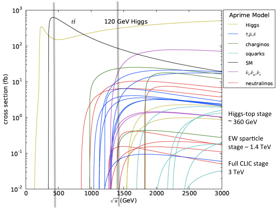